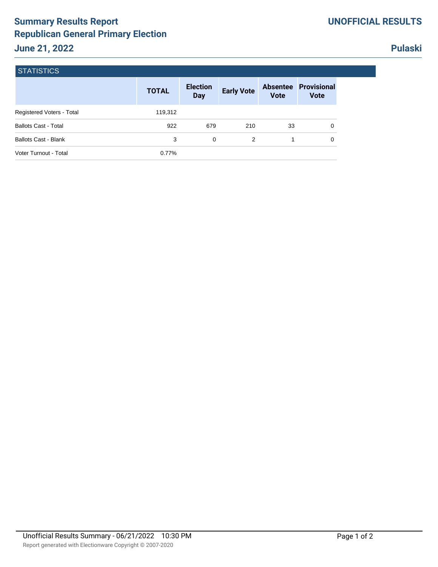## **Summary Results Report Republican General Primary Election June 21, 2022**

## **Pulaski**

| <b>STATISTICS</b>           |              |                               |                   |                                |                            |
|-----------------------------|--------------|-------------------------------|-------------------|--------------------------------|----------------------------|
|                             | <b>TOTAL</b> | <b>Election</b><br><b>Day</b> | <b>Early Vote</b> | <b>Absentee</b><br><b>Vote</b> | Provisional<br><b>Vote</b> |
| Registered Voters - Total   | 119,312      |                               |                   |                                |                            |
| <b>Ballots Cast - Total</b> | 922          | 679                           | 210               | 33                             | 0                          |
| <b>Ballots Cast - Blank</b> | 3            | 0                             | 2                 | 1                              | 0                          |
| Voter Turnout - Total       | 0.77%        |                               |                   |                                |                            |